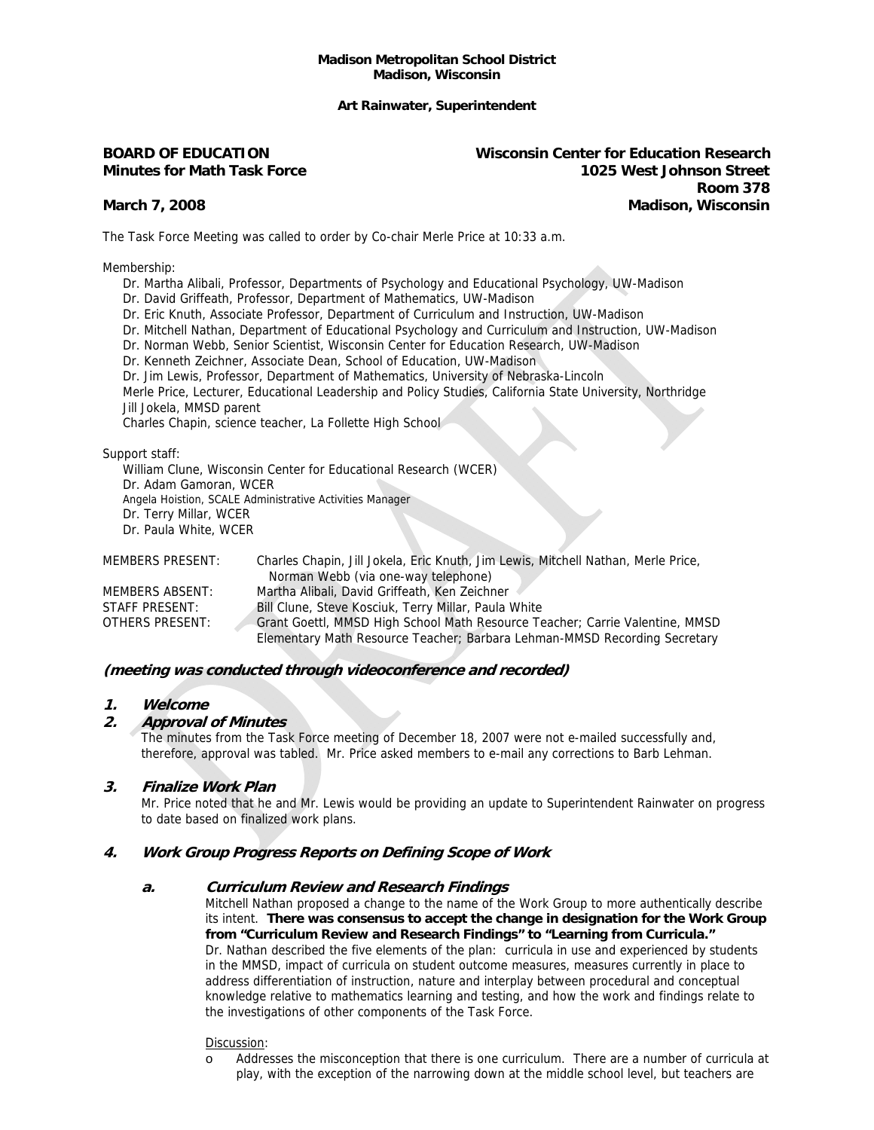#### **Madison Metropolitan School District Madison, Wisconsin**

## **Art Rainwater, Superintendent**

**BOARD OF EDUCATION Wisconsin Center for Education Research Minutes for Math Task Force 1025 West Johnson Street 1999 - Room 378 Property American State Avenue American State Avenue Avenue Avenue Avenue Avenue Avenue Avenue March 7, 2008 Madison, Wisconsin** 

The Task Force Meeting was called to order by Co-chair Merle Price at 10:33 a.m.

Membership:

- Dr. Martha Alibali, Professor, Departments of Psychology and Educational Psychology, UW-Madison
- Dr. David Griffeath, Professor, Department of Mathematics, UW-Madison
- Dr. Eric Knuth, Associate Professor, Department of Curriculum and Instruction, UW-Madison
- Dr. Mitchell Nathan, Department of Educational Psychology and Curriculum and Instruction, UW-Madison
- Dr. Norman Webb, Senior Scientist, Wisconsin Center for Education Research, UW-Madison
- Dr. Kenneth Zeichner, Associate Dean, School of Education, UW-Madison
- Dr. Jim Lewis, Professor, Department of Mathematics, University of Nebraska-Lincoln

 Merle Price, Lecturer, Educational Leadership and Policy Studies, California State University, Northridge Jill Jokela, MMSD parent

Charles Chapin, science teacher, La Follette High School

Support staff:

 William Clune, Wisconsin Center for Educational Research (WCER) Dr. Adam Gamoran, WCER Angela Hoistion, SCALE Administrative Activities Manager Dr. Terry Millar, WCER Dr. Paula White, WCER

| MEMBERS PRESENT: | Charles Chapin, Jill Jokela, Eric Khuth, Jim Lewis, Mitchell Nathan, Merie Price, |
|------------------|-----------------------------------------------------------------------------------|
|                  | Norman Webb (via one-way telephone)                                               |
| MEMBERS ABSENT:  | Martha Alibali, David Griffeath, Ken Zeichner                                     |
| STAFF PRESENT:   | Bill Clune, Steve Kosciuk, Terry Millar, Paula White                              |
| OTHERS PRESENT:  | Grant Goettl, MMSD High School Math Resource Teacher; Carrie Valentine, MMSD      |
|                  | Elementary Math Resource Teacher; Barbara Lehman-MMSD Recording Secretary         |

MEMBERS PRESENT: Charles Chapin, Jill Jokela, Eric Knuth, Jim Lewis, Mitchell Nathan, Merle Price,

# **(meeting was conducted through videoconference and recorded)**

#### **1. Welcome**

# **2. Approval of Minutes**

The minutes from the Task Force meeting of December 18, 2007 were not e-mailed successfully and, therefore, approval was tabled. Mr. Price asked members to e-mail any corrections to Barb Lehman.

# **3. Finalize Work Plan**

 Mr. Price noted that he and Mr. Lewis would be providing an update to Superintendent Rainwater on progress to date based on finalized work plans.

# **4. Work Group Progress Reports on Defining Scope of Work**

#### **a. Curriculum Review and Research Findings**

Mitchell Nathan proposed a change to the name of the Work Group to more authentically describe its intent. **There was consensus to accept the change in designation for the Work Group from "Curriculum Review and Research Findings" to "Learning from Curricula."**  Dr. Nathan described the five elements of the plan: curricula in use and experienced by students in the MMSD, impact of curricula on student outcome measures, measures currently in place to address differentiation of instruction, nature and interplay between procedural and conceptual knowledge relative to mathematics learning and testing, and how the work and findings relate to the investigations of other components of the Task Force.

#### Discussion:

o Addresses the misconception that there is one curriculum. There are a number of curricula at play, with the exception of the narrowing down at the middle school level, but teachers are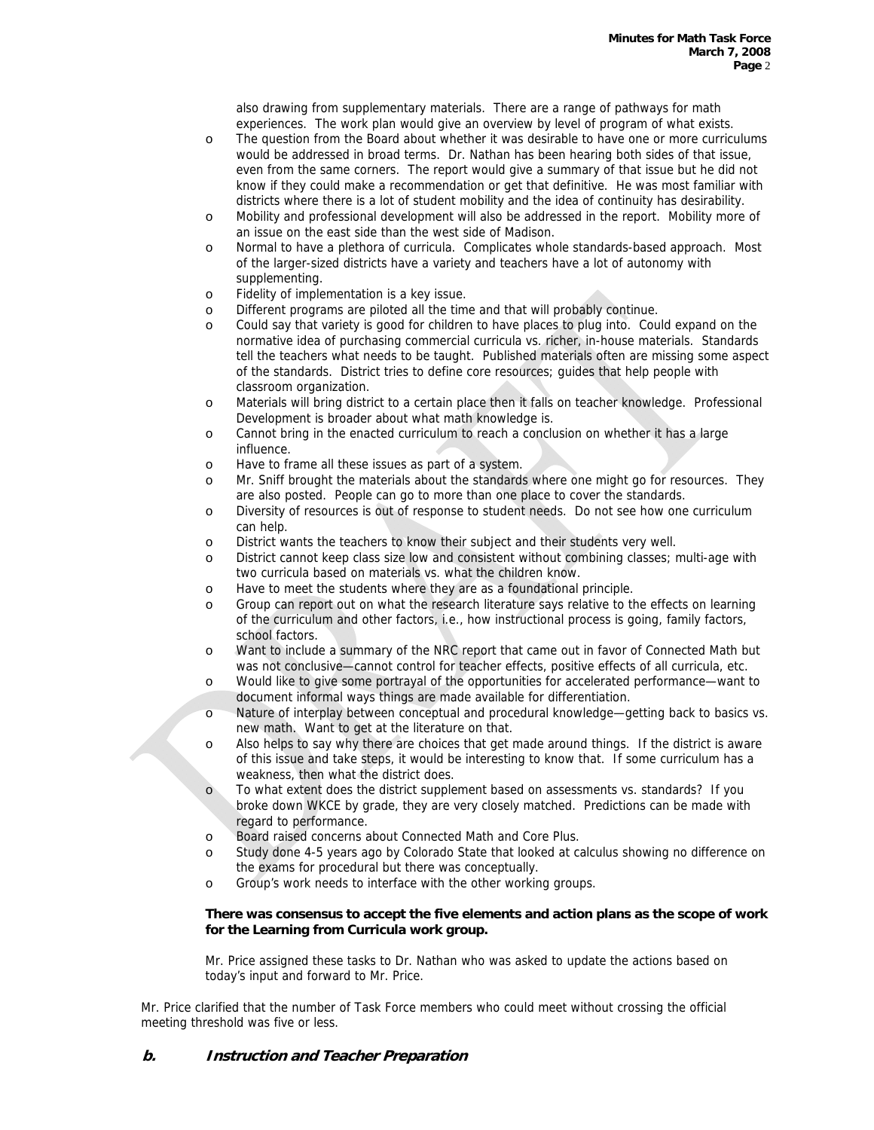also drawing from supplementary materials. There are a range of pathways for math experiences. The work plan would give an overview by level of program of what exists.

- o The question from the Board about whether it was desirable to have one or more curriculums would be addressed in broad terms. Dr. Nathan has been hearing both sides of that issue, even from the same corners. The report would give a summary of that issue but he did not know if they could make a recommendation or get that definitive. He was most familiar with districts where there is a lot of student mobility and the idea of continuity has desirability.
- o Mobility and professional development will also be addressed in the report. Mobility more of an issue on the east side than the west side of Madison.
- o Normal to have a plethora of curricula. Complicates whole standards-based approach. Most of the larger-sized districts have a variety and teachers have a lot of autonomy with supplementing.
- o Fidelity of implementation is a key issue.
- o Different programs are piloted all the time and that will probably continue.
- o Could say that variety is good for children to have places to plug into. Could expand on the normative idea of purchasing commercial curricula vs. richer, in-house materials. Standards tell the teachers what needs to be taught. Published materials often are missing some aspect of the standards. District tries to define core resources; guides that help people with classroom organization.
- o Materials will bring district to a certain place then it falls on teacher knowledge. Professional Development is broader about what math knowledge is.
- o Cannot bring in the enacted curriculum to reach a conclusion on whether it has a large influence.
- o Have to frame all these issues as part of a system.
- o Mr. Sniff brought the materials about the standards where one might go for resources. They are also posted. People can go to more than one place to cover the standards.
- o Diversity of resources is out of response to student needs. Do not see how one curriculum can help.
- o District wants the teachers to know their subject and their students very well.
- o District cannot keep class size low and consistent without combining classes; multi-age with two curricula based on materials vs. what the children know.
- o Have to meet the students where they are as a foundational principle.
- o Group can report out on what the research literature says relative to the effects on learning of the curriculum and other factors, i.e., how instructional process is going, family factors, school factors.
- o Want to include a summary of the NRC report that came out in favor of Connected Math but was not conclusive—cannot control for teacher effects, positive effects of all curricula, etc.
- o Would like to give some portrayal of the opportunities for accelerated performance—want to document informal ways things are made available for differentiation.
- o Nature of interplay between conceptual and procedural knowledge—getting back to basics vs. new math. Want to get at the literature on that.
- o Also helps to say why there are choices that get made around things. If the district is aware of this issue and take steps, it would be interesting to know that. If some curriculum has a weakness, then what the district does.
- o To what extent does the district supplement based on assessments vs. standards? If you broke down WKCE by grade, they are very closely matched. Predictions can be made with regard to performance.
- o Board raised concerns about Connected Math and Core Plus.
- o Study done 4-5 years ago by Colorado State that looked at calculus showing no difference on the exams for procedural but there was conceptually.
- o Group's work needs to interface with the other working groups.

#### **There was consensus to accept the five elements and action plans as the scope of work for the Learning from Curricula work group.**

Mr. Price assigned these tasks to Dr. Nathan who was asked to update the actions based on today's input and forward to Mr. Price.

Mr. Price clarified that the number of Task Force members who could meet without crossing the official meeting threshold was five or less.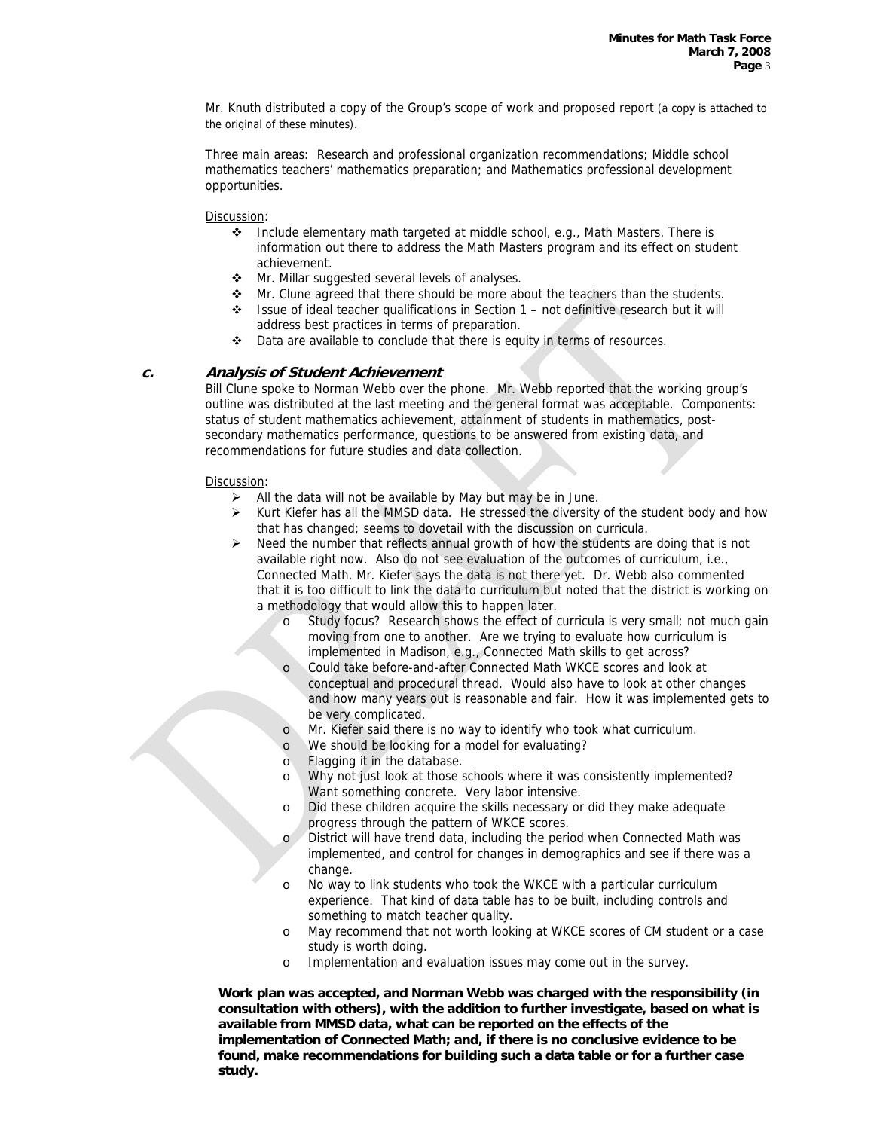Mr. Knuth distributed a copy of the Group's scope of work and proposed report (a copy is attached to the original of these minutes).

 Three main areas: Research and professional organization recommendations; Middle school mathematics teachers' mathematics preparation; and Mathematics professional development opportunities.

#### Discussion:

- ◆ Include elementary math targeted at middle school, e.g., Math Masters. There is information out there to address the Math Masters program and its effect on student achievement.
- **\*** Mr. Millar suggested several levels of analyses.
- $\clubsuit$  Mr. Clune agreed that there should be more about the teachers than the students.
- $\div$  Issue of ideal teacher qualifications in Section 1 not definitive research but it will address best practices in terms of preparation.
- ◆ Data are available to conclude that there is equity in terms of resources.

# **c. Analysis of Student Achievement**

 Bill Clune spoke to Norman Webb over the phone. Mr. Webb reported that the working group's outline was distributed at the last meeting and the general format was acceptable. Components: status of student mathematics achievement, attainment of students in mathematics, postsecondary mathematics performance, questions to be answered from existing data, and recommendations for future studies and data collection.

## Discussion:

- All the data will not be available by May but may be in June.
- $\triangleright$  Kurt Kiefer has all the MMSD data. He stressed the diversity of the student body and how that has changed; seems to dovetail with the discussion on curricula.
- $\triangleright$  Need the number that reflects annual growth of how the students are doing that is not available right now. Also do not see evaluation of the outcomes of curriculum, i.e., Connected Math. Mr. Kiefer says the data is not there yet. Dr. Webb also commented that it is too difficult to link the data to curriculum but noted that the district is working on a methodology that would allow this to happen later.
	- o Study focus? Research shows the effect of curricula is very small; not much gain moving from one to another. Are we trying to evaluate how curriculum is implemented in Madison, e.g., Connected Math skills to get across?
	- o Could take before-and-after Connected Math WKCE scores and look at conceptual and procedural thread. Would also have to look at other changes and how many years out is reasonable and fair. How it was implemented gets to be very complicated.
	- o Mr. Kiefer said there is no way to identify who took what curriculum.
	- o We should be looking for a model for evaluating?
	- o Flagging it in the database.
	- o Why not just look at those schools where it was consistently implemented? Want something concrete. Very labor intensive.
	- o Did these children acquire the skills necessary or did they make adequate progress through the pattern of WKCE scores.
	- o District will have trend data, including the period when Connected Math was implemented, and control for changes in demographics and see if there was a change.
	- o No way to link students who took the WKCE with a particular curriculum experience. That kind of data table has to be built, including controls and something to match teacher quality.
	- o May recommend that not worth looking at WKCE scores of CM student or a case study is worth doing.
	- o Implementation and evaluation issues may come out in the survey.

 **Work plan was accepted, and Norman Webb was charged with the responsibility (in consultation with others), with the addition to further investigate, based on what is available from MMSD data, what can be reported on the effects of the implementation of Connected Math; and, if there is no conclusive evidence to be found, make recommendations for building such a data table or for a further case study.**